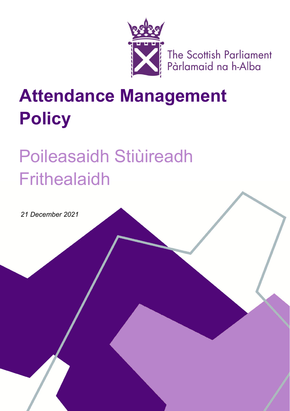

The Scottish Parliament<br>Pàrlamaid na h-Alba

# **Attendance Management Policy**

# Poileasaidh Stiùireadh **Frithealaidh**

*21 December 2021*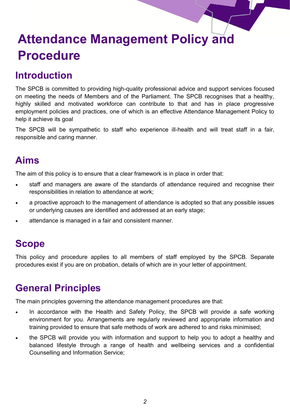## **Introduction**

The SPCB is committed to providing high-quality professional advice and support services focused on meeting the needs of Members and of the Parliament. The SPCB recognises that a healthy, highly skilled and motivated workforce can contribute to that and has in place progressive employment policies and practices, one of which is an effective Attendance Management Policy to help it achieve its goal

The SPCB will be sympathetic to staff who experience ill-health and will treat staff in a fair, responsible and caring manner.

#### **Aims**

The aim of this policy is to ensure that a clear framework is in place in order that:

- staff and managers are aware of the standards of attendance required and recognise their responsibilities in relation to attendance at work;
- a proactive approach to the management of attendance is adopted so that any possible issues or underlying causes are identified and addressed at an early stage;
- attendance is managed in a fair and consistent manner.

#### **Scope**

This policy and procedure applies to all members of staff employed by the SPCB. Separate procedures exist if you are on probation, details of which are in your letter of appointment.

#### **General Principles**

The main principles governing the attendance management procedures are that:

- In accordance with the Health and Safety Policy, the SPCB will provide a safe working environment for you. Arrangements are regularly reviewed and appropriate information and training provided to ensure that safe methods of work are adhered to and risks minimised;
- the SPCB will provide you with information and support to help you to adopt a healthy and balanced lifestyle through a range of health and wellbeing services and a confidential Counselling and Information Service;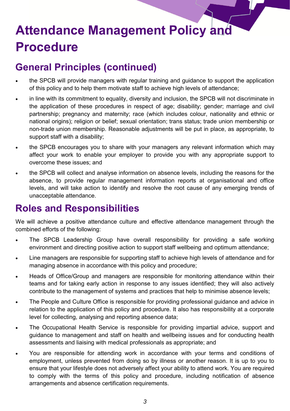# **General Principles (continued)**

- the SPCB will provide managers with regular training and guidance to support the application of this policy and to help them motivate staff to achieve high levels of attendance;
- in line with its commitment to equality, diversity and inclusion, the SPCB will not discriminate in the application of these procedures in respect of age; disability; gender; marriage and civil partnership; pregnancy and maternity; race (which includes colour, nationality and ethnic or national origins); religion or belief; sexual orientation; trans status; trade union membership or non-trade union membership. Reasonable adjustments will be put in place, as appropriate, to support staff with a disability;
- the SPCB encourages you to share with your managers any relevant information which may affect your work to enable your employer to provide you with any appropriate support to overcome these issues; and
- the SPCB will collect and analyse information on absence levels, including the reasons for the absence, to provide regular management information reports at organisational and office levels, and will take action to identify and resolve the root cause of any emerging trends of unacceptable attendance.

### **Roles and Responsibilities**

We will achieve a positive attendance culture and effective attendance management through the combined efforts of the following:

- The SPCB Leadership Group have overall responsibility for providing a safe working environment and directing positive action to support staff wellbeing and optimum attendance;
- Line managers are responsible for supporting staff to achieve high levels of attendance and for managing absence in accordance with this policy and procedure;
- Heads of Office/Group and managers are responsible for monitoring attendance within their teams and for taking early action in response to any issues identified; they will also actively contribute to the management of systems and practices that help to minimise absence levels;
- The People and Culture Office is responsible for providing professional guidance and advice in relation to the application of this policy and procedure. It also has responsibility at a corporate level for collecting, analysing and reporting absence data;
- The Occupational Health Service is responsible for providing impartial advice, support and guidance to management and staff on health and wellbeing issues and for conducting health assessments and liaising with medical professionals as appropriate; and
- You are responsible for attending work in accordance with your terms and conditions of employment, unless prevented from doing so by illness or another reason. It is up to you to ensure that your lifestyle does not adversely affect your ability to attend work. You are required to comply with the terms of this policy and procedure, including notification of absence arrangements and absence certification requirements.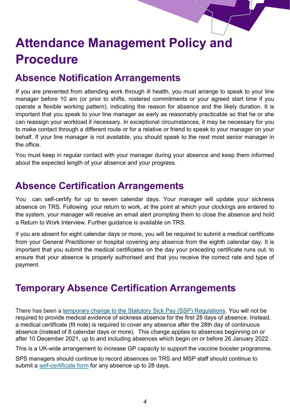### **Absence Notification Arrangements**

If you are prevented from attending work through ill health, you must arrange to speak to your line manager before 10 am (or prior to shifts, rostered commitments or your agreed start time if you operate a flexible working pattern), indicating the reason for absence and the likely duration. It is important that you speak to your line manager as early as reasonably practicable so that he or she can reassign your workload if necessary. In exceptional circumstances, it may be necessary for you to make contact through a different route or for a relative or friend to speak to your manager on your behalf. If your line manager is not available, you should speak to the next most senior manager in the office.

You must keep in regular contact with your manager during your absence and keep them informed about the expected length of your absence and your progress.

#### **Absence Certification Arrangements**

You can self-certify for up to seven calendar days. Your manager will update your sickness absence on TRS. Following your return to work, at the point at which your clockings are entered to the system, your manager will receive an email alert prompting them to close the absence and hold a Return to Work Interview. Further guidance is available on TRS.

If you are absent for eight calendar days or more, you will be required to submit a medical certificate from your General Practitioner or hospital covering any absence from the eighth calendar day. It is important that you submit the medical certificates on the day your preceding certificate runs out, to ensure that your absence is properly authorised and that you receive the correct rate and type of payment.

## **Temporary Absence Certification Arrangements**

There has been a temporary change to the [Statutory Sick Pay \(SSP\) Regulations.](https://www.legislation.gov.uk/uksi/2021/1453/made) You will not be required to provide medical evidence of sickness absence for the first 28 days of absence. Instead, a medical certificate (fit note) is required to cover any absence after the 28th day of continuous absence (instead of 8 calendar days or more). This change applies to absences beginning on or after 10 December 2021, up to and including absences which begin on or before 26 January 2022.

This is a UK-wide arrangement to increase GP capacity to support the vaccine booster programme.

SPS managers should continue to record absences on TRS and MSP staff should continue to submit a self-[certificate form](https://archive2021.parliament.scot/Membersguidance/MSP_Staff_-_Self_Certificated_Sick_Leave_Form.doc) for any absence up to 28 days.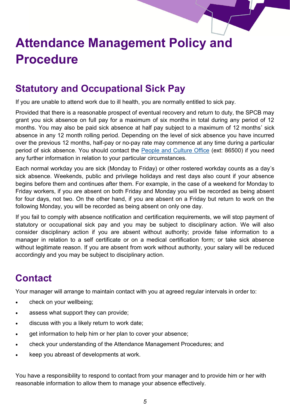# **Statutory and Occupational Sick Pay**

If you are unable to attend work due to ill health, you are normally entitled to sick pay.

Provided that there is a reasonable prospect of eventual recovery and return to duty, the SPCB may grant you sick absence on full pay for a maximum of six months in total during any period of 12 months. You may also be paid sick absence at half pay subject to a maximum of 12 months' sick absence in any 12 month rolling period. Depending on the level of sick absence you have incurred over the previous 12 months, half-pay or no-pay rate may commence at any time during a particular period of sick absence. You should contact the [People and Culture Office](mailto:HumanResources@parliament.scot) (ext: 86500) if you need any further information in relation to your particular circumstances.

Each normal workday you are sick (Monday to Friday) or other rostered workday counts as a day's sick absence. Weekends, public and privilege holidays and rest days also count if your absence begins before them and continues after them. For example, in the case of a weekend for Monday to Friday workers, if you are absent on both Friday and Monday you will be recorded as being absent for four days, not two. On the other hand, if you are absent on a Friday but return to work on the following Monday, you will be recorded as being absent on only one day.

If you fail to comply with absence notification and certification requirements, we will stop payment of statutory or occupational sick pay and you may be subject to disciplinary action. We will also consider disciplinary action if you are absent without authority; provide false information to a manager in relation to a self certificate or on a medical certification form; or take sick absence without legitimate reason. If you are absent from work without authority, your salary will be reduced accordingly and you may be subject to disciplinary action.

## **Contact**

Your manager will arrange to maintain contact with you at agreed regular intervals in order to:

- check on your wellbeing;
- assess what support they can provide;
- discuss with you a likely return to work date;
- get information to help him or her plan to cover your absence;
- check your understanding of the Attendance Management Procedures; and
- keep you abreast of developments at work.

You have a responsibility to respond to contact from your manager and to provide him or her with reasonable information to allow them to manage your absence effectively.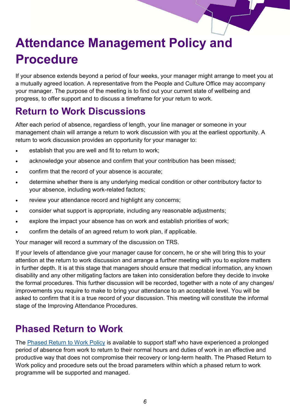If your absence extends beyond a period of four weeks, your manager might arrange to meet you at a mutually agreed location. A representative from the People and Culture Office may accompany your manager. The purpose of the meeting is to find out your current state of wellbeing and progress, to offer support and to discuss a timeframe for your return to work.

### **Return to Work Discussions**

After each period of absence, regardless of length, your line manager or someone in your management chain will arrange a return to work discussion with you at the earliest opportunity. A return to work discussion provides an opportunity for your manager to:

- establish that you are well and fit to return to work;
- acknowledge your absence and confirm that your contribution has been missed;
- confirm that the record of your absence is accurate;
- determine whether there is any underlying medical condition or other contributory factor to your absence, including work-related factors;
- review your attendance record and highlight any concerns;
- consider what support is appropriate, including any reasonable adjustments;
- explore the impact your absence has on work and establish priorities of work;
- confirm the details of an agreed return to work plan, if applicable.

Your manager will record a summary of the discussion on TRS.

If your levels of attendance give your manager cause for concern, he or she will bring this to your attention at the return to work discussion and arrange a further meeting with you to explore matters in further depth. It is at this stage that managers should ensure that medical information, any known disability and any other mitigating factors are taken into consideration before they decide to invoke the formal procedures. This further discussion will be recorded, together with a note of any changes/ improvements you require to make to bring your attendance to an acceptable level. You will be asked to confirm that it is a true record of your discussion. This meeting will constitute the informal stage of the Improving Attendance Procedures.

#### **Phased Return to Work**

The [Phased Return to Work Policy](https://68e964d4-3a85-4c03-89f7-d6c59f31a423.filesusr.com/ugd/0e32dc_411b234b76464d949f99b81f2cde3fcc.pdf?index=true) is available to support staff who have experienced a prolonged period of absence from work to return to their normal hours and duties of work in an effective and productive way that does not compromise their recovery or long-term health. The Phased Return to Work policy and procedure sets out the broad parameters within which a phased return to work programme will be supported and managed.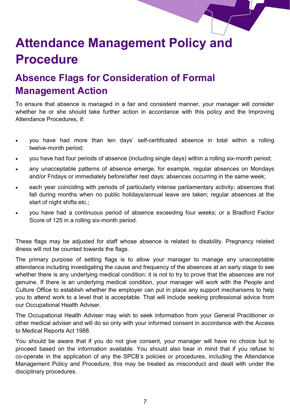

# **Absence Flags for Consideration of Formal Management Action**

To ensure that absence is managed in a fair and consistent manner, your manager will consider whether he or she should take further action in accordance with this policy and the Improving Attendance Procedures, if:

- you have had more than ten days' self-certificated absence in total within a rolling twelve-month period;
- you have had four periods of absence (including single days) within a rolling six-month period;
- any unacceptable patterns of absence emerge, for example, regular absences on Mondays and/or Fridays or immediately before/after rest days; absences occurring in the same week;
- each year coinciding with periods of particularly intense parliamentary activity; absences that fall during months when no public holidays/annual leave are taken; regular absences at the start of night shifts etc.;
- you have had a continuous period of absence exceeding four weeks; or a Bradford Factor Score of 125 in a rolling six-month period.

These flags may be adjusted for staff whose absence is related to disability. Pregnancy related illness will not be counted towards the flags.

The primary purpose of setting flags is to allow your manager to manage any unacceptable attendance including investigating the cause and frequency of the absences at an early stage to see whether there is any underlying medical condition; it is not to try to prove that the absences are not genuine. If there is an underlying medical condition, your manager will work with the People and Culture Office to establish whether the employer can put in place any support mechanisms to help you to attend work to a level that is acceptable. That will include seeking professional advice from our Occupational Health Adviser.

The Occupational Health Adviser may wish to seek information from your General Practitioner or other medical adviser and will do so only with your informed consent in accordance with the Access to Medical Reports Act 1988.

You should be aware that if you do not give consent, your manager will have no choice but to proceed based on the information available. You should also bear in mind that if you refuse to co-operate in the application of any the SPCB's policies or procedures, including the Attendance Management Policy and Procedure, this may be treated as misconduct and dealt with under the disciplinary procedures.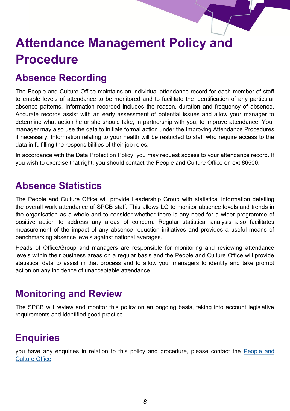## **Absence Recording**

The People and Culture Office maintains an individual attendance record for each member of staff to enable levels of attendance to be monitored and to facilitate the identification of any particular absence patterns. Information recorded includes the reason, duration and frequency of absence. Accurate records assist with an early assessment of potential issues and allow your manager to determine what action he or she should take, in partnership with you, to improve attendance. Your manager may also use the data to initiate formal action under the Improving Attendance Procedures if necessary. Information relating to your health will be restricted to staff who require access to the data in fulfilling the responsibilities of their job roles.

In accordance with the Data Protection Policy, you may request access to your attendance record. If you wish to exercise that right, you should contact the People and Culture Office on ext 86500.

#### **Absence Statistics**

The People and Culture Office will provide Leadership Group with statistical information detailing the overall work attendance of SPCB staff. This allows LG to monitor absence levels and trends in the organisation as a whole and to consider whether there is any need for a wider programme of positive action to address any areas of concern. Regular statistical analysis also facilitates measurement of the impact of any absence reduction initiatives and provides a useful means of benchmarking absence levels against national averages.

Heads of Office/Group and managers are responsible for monitoring and reviewing attendance levels within their business areas on a regular basis and the People and Culture Office will provide statistical data to assist in that process and to allow your managers to identify and take prompt action on any incidence of unacceptable attendance.

#### **Monitoring and Review**

The SPCB will review and monitor this policy on an ongoing basis, taking into account legislative requirements and identified good practice.

## **Enquiries**

you have any enquiries in relation to this policy and procedure, please contact the [People and](mailto:PeopleandCulture@parliament.scot)  [Culture Office.](mailto:PeopleandCulture@parliament.scot)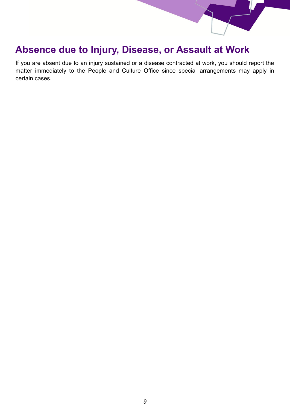#### **Absence due to Injury, Disease, or Assault at Work**

If you are absent due to an injury sustained or a disease contracted at work, you should report the matter immediately to the People and Culture Office since special arrangements may apply in certain cases.